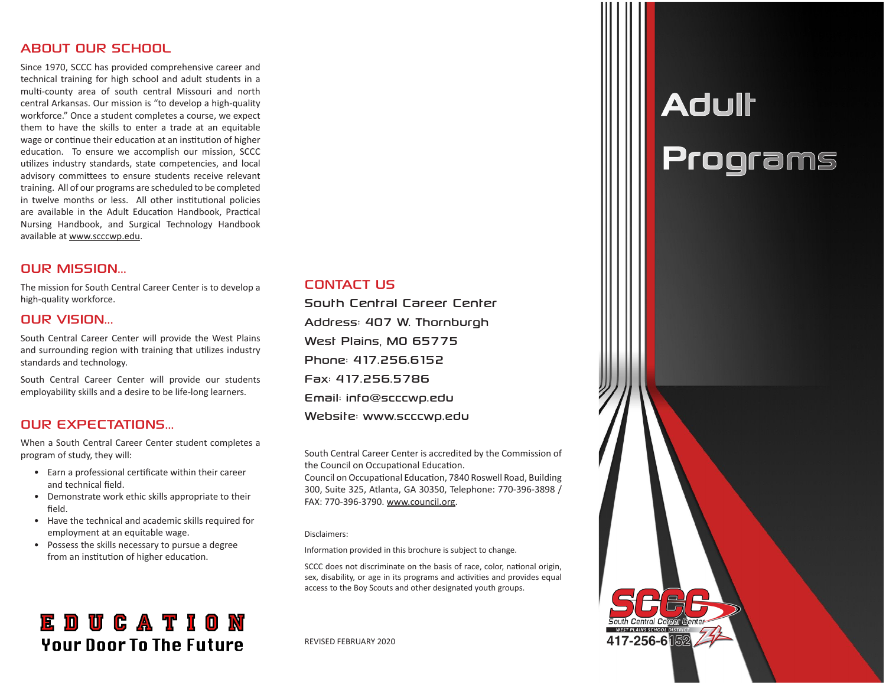#### ABOUT OUR SCHOOL

Since 1970, SCCC has provided comprehensive career and technical training for high school and adult students in a multi-county area of south central Missouri and north central Arkansas. Our mission is "to develop a high-quality workforce." Once a student completes a course, we expect them to have the skills to enter a trade at an equitable wage or continue their education at an institution of higher education. To ensure we accomplish our mission, SCCC utilizes industry standards, state competencies, and local advisory committees to ensure students receive relevant training. All of our programs are scheduled to be completed in twelve months or less. All other institutional policies are available in the Adult Education Handbook, Practical Nursing Handbook, and Surgical Technology Handbook available at www.scccwp.edu.

#### OUR MISSION...

The mission for South Central Career Center is to develop a high-quality workforce.

#### OUR VISION...

South Central Career Center will provide the West Plains and surrounding region with training that utilizes industry standards and technology.

South Central Career Center will provide our students employability skills and a desire to be life-long learners.

#### OUR EXPECTATIONS...

When a South Central Career Center student completes a program of study, they will:

- Earn a professional certificate within their career and technical field.
- Demonstrate work ethic skills appropriate to their field.
- Have the technical and academic skills required for employment at an equitable wage.
- Possess the skills necessary to pursue a degree from an institution of higher education.

### **EDUCATION Your Door To The Future**

#### CONTACT US

South Central Career Center Address: 407 W. Thornburgh West Plains, MO 65775 Phone: 417.256.6152 Fax: 417.256.5786 Email: info@scccwp.edu Website: www.scccwp.edu

South Central Career Center is accredited by the Commission of the Council on Occupational Education.

Council on Occupational Education, 7840 Roswell Road, Building 300, Suite 325, Atlanta, GA 30350, Telephone: 770-396-3898 / FAX: 770-396-3790. www.council.org.

#### Disclaimers:

Information provided in this brochure is subject to change.

SCCC does not discriminate on the basis of race, color, national origin, sex, disability, or age in its programs and activities and provides equal access to the Boy Scouts and other designated youth groups.

REVISED FEBRUARY 2020

## Adult Programs

417-256-6隔2